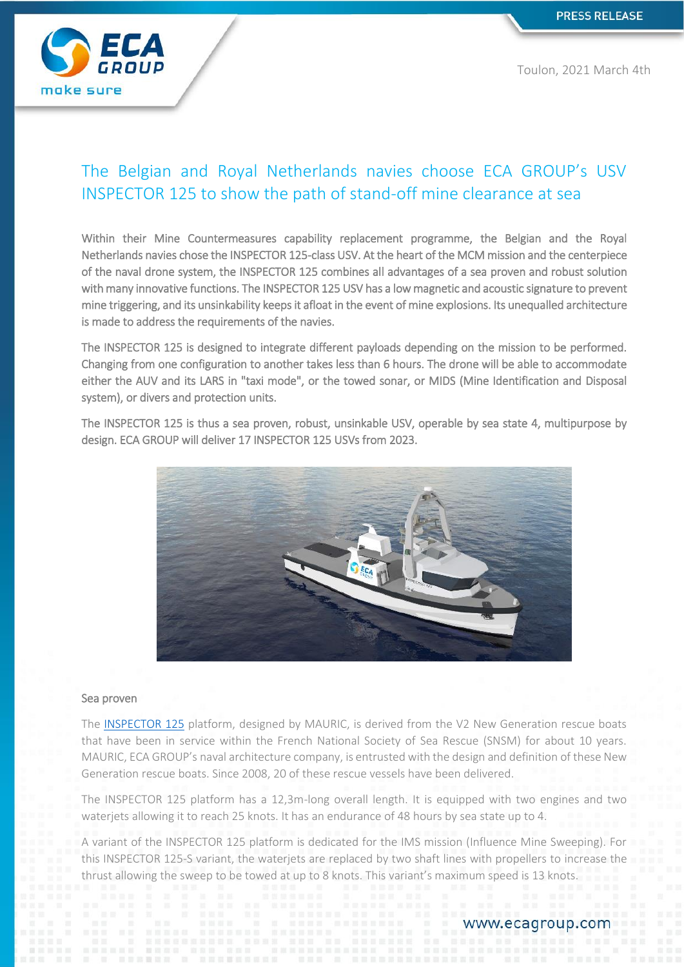

# The Belgian and Royal Netherlands navies choose ECA GROUP's USV INSPECTOR 125 to show the path of stand-off mine clearance at sea

Within their Mine Countermeasures capability replacement programme, the Belgian and the Royal Netherlands navies chose the INSPECTOR 125-class USV. At the heart of the MCM mission and the centerpiece of the naval drone system, the INSPECTOR 125 combines all advantages of a sea proven and robust solution with many innovative functions. The INSPECTOR 125 USV has a low magnetic and acoustic signature to prevent mine triggering, and its unsinkability keeps it afloat in the event of mine explosions. Its unequalled architecture is made to address the requirements of the navies.

The INSPECTOR 125 is designed to integrate different payloads depending on the mission to be performed. Changing from one configuration to another takes less than 6 hours. The drone will be able to accommodate either the AUV and its LARS in "taxi mode", or the towed sonar, or MIDS (Mine Identification and Disposal system), or divers and protection units.

The INSPECTOR 125 is thus a sea proven, robust, unsinkable USV, operable by sea state 4, multipurpose by design. ECA GROUP will deliver 17 INSPECTOR 125 USVs from 2023.



#### Sea proven

The [INSPECTOR 125](https://www.ecagroup.com/en/solutions/unmanned-surface-vehicle-inspector-125) platform, designed by MAURIC, is derived from the V2 New Generation rescue boats that have been in service within the French National Society of Sea Rescue (SNSM) for about 10 years. MAURIC, ECA GROUP's naval architecture company, is entrusted with the design and definition of these New Generation rescue boats. Since 2008, 20 of these rescue vessels have been delivered.

The INSPECTOR 125 platform has a 12,3m-long overall length. It is equipped with two engines and two waterjets allowing it to reach 25 knots. It has an endurance of 48 hours by sea state up to 4.

A variant of the INSPECTOR 125 platform is dedicated for the IMS mission (Influence Mine Sweeping). For this INSPECTOR 125-S variant, the waterjets are replaced by two shaft lines with propellers to increase the thrust allowing the sweep to be towed at up to 8 knots. This variant's maximum speed is 13 knots.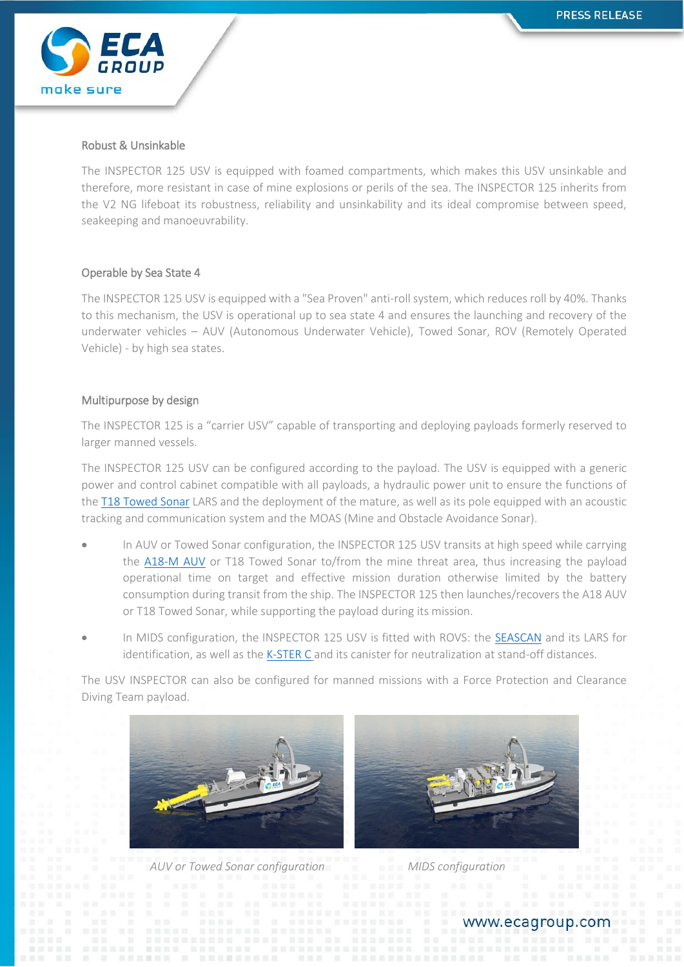

#### Robust & Unsinkable

The INSPECTOR 125 USV is equipped with foamed compartments, which makes this USV unsinkable and therefore, more resistant in case of mine explosions or perils of the sea. The INSPECTOR 125 inherits from the V2 NG lifeboat its robustness, reliability and unsinkability and its ideal compromise between speed, seakeeping and manoeuvrability.

#### Operable by Sea State 4

The INSPECTOR 125 USV is equipped with a "Sea Proven" anti-roll system, which reduces roll by 40%. Thanks to this mechanism, the USV is operational up to sea state 4 and ensures the launching and recovery of the underwater vehicles – AUV (Autonomous Underwater Vehicle), Towed Sonar, ROV (Remotely Operated Vehicle) - by high sea states.

#### Multipurpose by design

The INSPECTOR 125 is a "carrier USV" capable of transporting and deploying payloads formerly reserved to larger manned vessels.

The INSPECTOR 125 USV can be configured according to the payload. The USV is equipped with a generic power and control cabinet compatible with all payloads, a hydraulic power unit to ensure the functions of the [T18 Towed Sonar](https://www.ecagroup.com/en/solutions/t18-m-towed-sonar) LARS and the deployment of the mature, as well as its pole equipped with an acoustic tracking and communication system and the MOAS (Mine and Obstacle Avoidance Sonar).

- In AUV or Towed Sonar configuration, the INSPECTOR 125 USV transits at high speed while carrying the [A18-M AUV](https://www.ecagroup.com/en/solutions/a18-m-auv-autonomous-underwater-vehicle) or T18 Towed Sonar to/from the mine threat area, thus increasing the payload operational time on target and effective mission duration otherwise limited by the battery consumption during transit from the ship. The INSPECTOR 125 then launches/recovers the A18 AUV or T18 Towed Sonar, while supporting the payload during its mission.
- In MIDS configuration, the INSPECTOR 125 USV is fitted with ROVS: the [SEASCAN](https://www.ecagroup.com/en/solutions/seascan-mk2) and its LARS for identification, as well as the [K-STER C](https://www.ecagroup.com/en/solutions/k-ster-c) and its canister for neutralization at stand-off distances.

The USV INSPECTOR can also be configured for manned missions with a Force Protection and Clearance Diving Team payload.



 *AUV or Towed Sonar configuration MIDS configuration*



www.ecagroup.com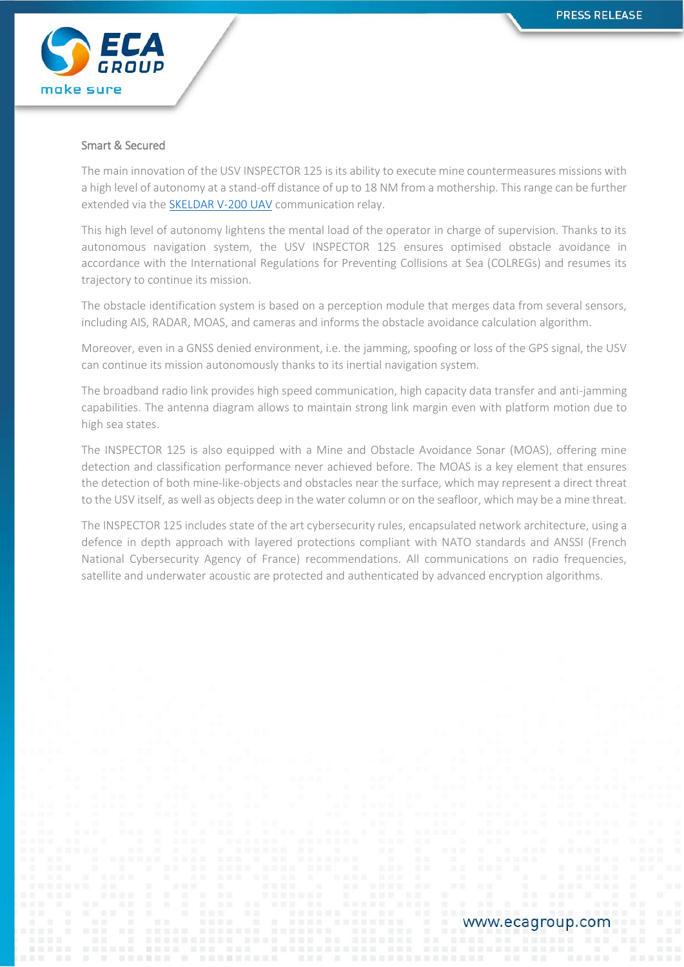

#### Smart & Secured

The main innovation of the USV INSPECTOR 125 is its ability to execute mine countermeasures missions with a high level of autonomy at a stand-off distance of up to 18 NM from a mothership. This range can be further extended via the [SKELDAR V-200 UAV](https://umsskeldar.aero/our-products/rpas-systems/v-200-skeldar/) communication relay.

This high level of autonomy lightens the mental load of the operator in charge of supervision. Thanks to its autonomous navigation system, the USV INSPECTOR 125 ensures optimised obstacle avoidance in accordance with the International Regulations for Preventing Collisions at Sea (COLREGs) and resumes its trajectory to continue its mission.

The obstacle identification system is based on a perception module that merges data from several sensors, including AIS, RADAR, MOAS, and cameras and informs the obstacle avoidance calculation algorithm.

Moreover, even in a GNSS denied environment, i.e. the jamming, spoofing or loss of the GPS signal, the USV can continue its mission autonomously thanks to its inertial navigation system.

The broadband radio link provides high speed communication, high capacity data transfer and anti-jamming capabilities. The antenna diagram allows to maintain strong link margin even with platform motion due to high sea states.

The INSPECTOR 125 is also equipped with a Mine and Obstacle Avoidance Sonar (MOAS), offering mine detection and classification performance never achieved before. The MOAS is a key element that ensures the detection of both mine-like-objects and obstacles near the surface, which may represent a direct threat to the USV itself, as well as objects deep in the water column or on the seafloor, which may be a mine threat.

The INSPECTOR 125 includes state of the art cybersecurity rules, encapsulated network architecture, using a defence in depth approach with layered protections compliant with NATO standards and ANSSI (French National Cybersecurity Agency of France) recommendations. All communications on radio frequencies, satellite and underwater acoustic are protected and authenticated by advanced encryption algorithms.